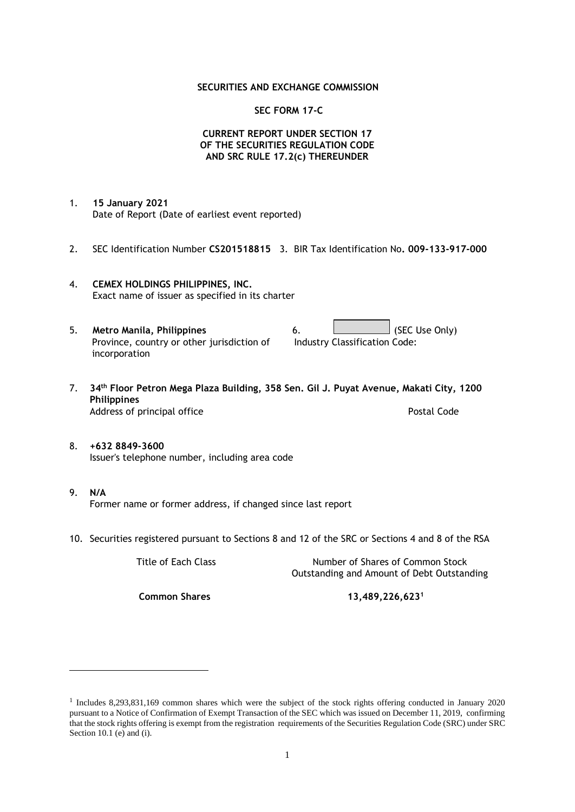#### **SECURITIES AND EXCHANGE COMMISSION**

#### **SEC FORM 17-C**

### **CURRENT REPORT UNDER SECTION 17 OF THE SECURITIES REGULATION CODE AND SRC RULE 17.2(c) THEREUNDER**

- 1. **15 January 2021** Date of Report (Date of earliest event reported)
- 2. SEC Identification Number **CS201518815** 3. BIR Tax Identification No**. 009-133-917-000**
- 4. **CEMEX HOLDINGS PHILIPPINES, INC.** Exact name of issuer as specified in its charter
- 5. **Metro Manila, Philippines** 6. **Consumers 6.** (SEC Use Only) Province, country or other jurisdiction of incorporation Industry Classification Code:
- 7. **34th Floor Petron Mega Plaza Building, 358 Sen. Gil J. Puyat Avenue, Makati City, 1200 Philippines** Address of principal office **Postal Code** Postal Code
- 8. **+632 8849-3600** Issuer's telephone number, including area code
- 9. **N/A** Former name or former address, if changed since last report
- 10. Securities registered pursuant to Sections 8 and 12 of the SRC or Sections 4 and 8 of the RSA

Title of Each Class Number of Shares of Common Stock Outstanding and Amount of Debt Outstanding

**Common Shares 13,489,226,623<sup>1</sup>**

<sup>1</sup> Includes 8,293,831,169 common shares which were the subject of the stock rights offering conducted in January 2020 pursuant to a Notice of Confirmation of Exempt Transaction of the SEC which was issued on December 11, 2019, confirming that the stock rights offering is exempt from the registration requirements of the Securities Regulation Code (SRC) under SRC Section 10.1 (e) and (i).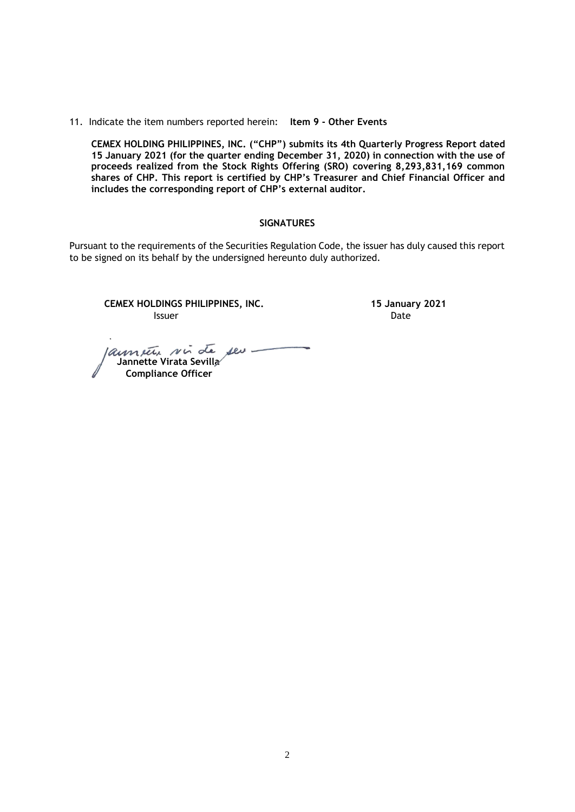11. Indicate the item numbers reported herein: **Item 9 - Other Events**

**CEMEX HOLDING PHILIPPINES, INC. ("CHP") submits its 4th Quarterly Progress Report dated 15 January 2021 (for the quarter ending December 31, 2020) in connection with the use of proceeds realized from the Stock Rights Offering (SRO) covering 8,293,831,169 common shares of CHP. This report is certified by CHP's Treasurer and Chief Financial Officer and includes the corresponding report of CHP's external auditor.** 

#### **SIGNATURES**

Pursuant to the requirements of the Securities Regulation Code, the issuer has duly caused this report to be signed on its behalf by the undersigned hereunto duly authorized.

**CEMEX HOLDINGS PHILIPPINES, INC. 15 January 2021 Issuer Date** 

launete vir de seu  **Jannette Virata Sevilla Compliance Officer**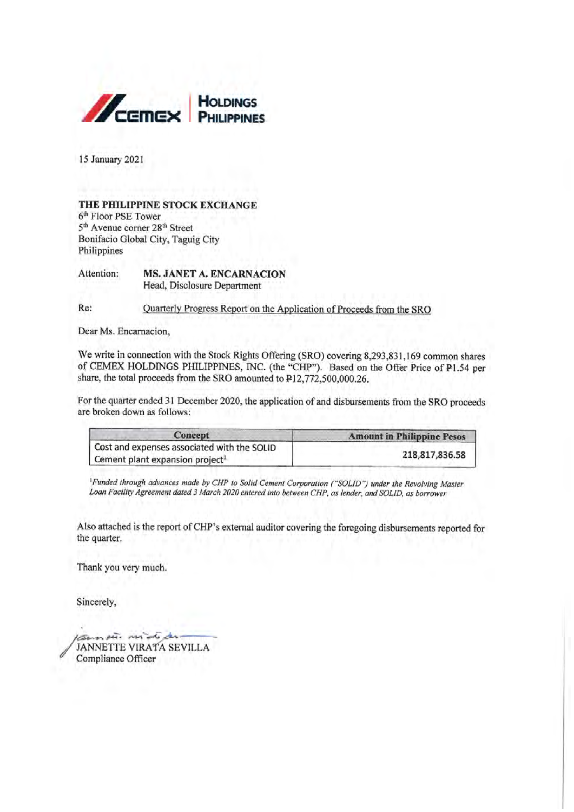

15 January 2021

#### THE PHILIPPINE STOCK EXCHANGE 6th Floor PSE Tower 5<sup>th</sup> Avenue corner 28<sup>th</sup> Street Bonifacio Global City, Taguig City Philippines

Attention: **MS. JANET A. ENCARNACION** Head, Disclosure Department

Re: Quarterly Progress Report on the Application of Proceeds from the SRO

Dear Ms. Encarnacion,

We write in connection with the Stock Rights Offering (SRO) covering 8,293,831,169 common shares of CEMEX HOLDINGS PHILIPPINES, INC. (the "CHP"). Based on the Offer Price of P1.54 per share, the total proceeds from the SRO amounted to P12,772,500,000.26.

For the quarter ended 31 December 2020, the application of and disbursements from the SRO proceeds are broken down as follows:

| Concept                                                                                    | <b>Amount in Philippine Pesos</b> |  |
|--------------------------------------------------------------------------------------------|-----------------------------------|--|
| Cost and expenses associated with the SOLID<br>Cement plant expansion project <sup>1</sup> | 218,817,836.58                    |  |

<sup>1</sup>Funded through advances made by CHP to Solid Cement Corporation ("SOLID") under the Revolving Master Loan Facility Agreement dated 3 March 2020 entered into between CHP, as lender, and SOLID, as borrower

Also attached is the report of CHP's external auditor covering the foregoing disbursements reported for the quarter.

Thank you very much.

Sincerely,

mouse mind JANNETTE VIRATA SEVILLA Compliance Officer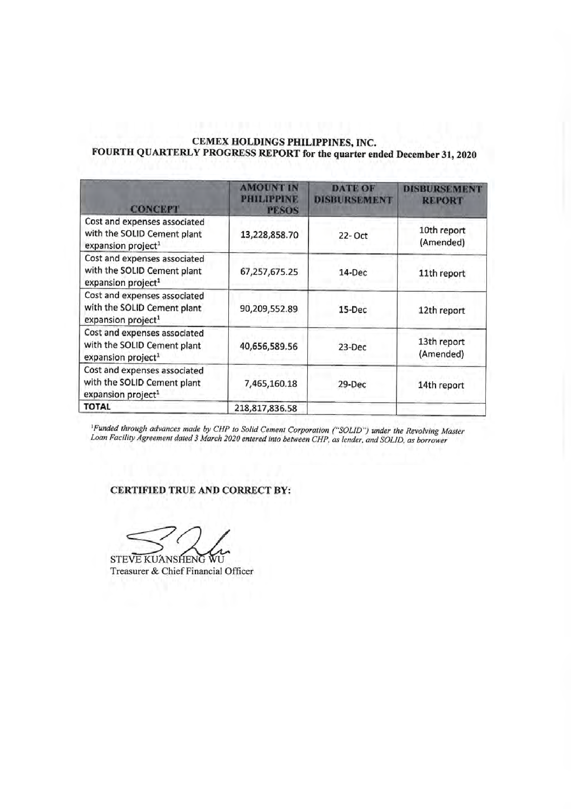# CEMEX HOLDINGS PHILIPPINES, INC. FOURTH QUARTERLY PROGRESS REPORT for the quarter ended December 31, 2020

| <b>CONCEPT</b>                                                                                | <b>AMOUNT IN</b><br>PHILIPPINE<br><b>PESOS</b> | <b>DATE OF</b><br><b>DISBURSEMENT</b> | DISBURSEMI<br><b>REPORT</b> |  |
|-----------------------------------------------------------------------------------------------|------------------------------------------------|---------------------------------------|-----------------------------|--|
| Cost and expenses associated<br>with the SOLID Cement plant<br>expansion project <sup>1</sup> | 13,228,858.70                                  | 22- Oct                               | 10th report<br>(Amended)    |  |
| Cost and expenses associated<br>with the SOLID Cement plant<br>expansion project <sup>1</sup> | 67,257,675.25                                  | $14$ -Dec                             | 11th report                 |  |
| Cost and expenses associated<br>with the SOLID Cement plant<br>expansion project <sup>1</sup> | 90,209,552.89                                  | $15-Dec$                              | 12th report                 |  |
| Cost and expenses associated<br>with the SOLID Cement plant<br>expansion project <sup>1</sup> | 40,656,589.56                                  | 23-Dec                                | 13th report<br>(Amended)    |  |
| Cost and expenses associated<br>with the SOLID Cement plant<br>expansion project <sup>1</sup> | 7,465,160.18                                   | 29-Dec                                | 14th report                 |  |
| <b>TOTAL</b>                                                                                  | 218,817,836.58                                 |                                       |                             |  |

<sup>1</sup>Funded through advances made by CHP to Solid Cement Corporation ("SOLID") under the Revolving Master<br>Loan Facility Agreement dated 3 March 2020 entered into between CHP, as lender, and SOLID, as borrower

## CERTIFIED TRUE AND CORRECT BY:

STEVE KUANSHENG WU Treasurer & Chief Financial Officer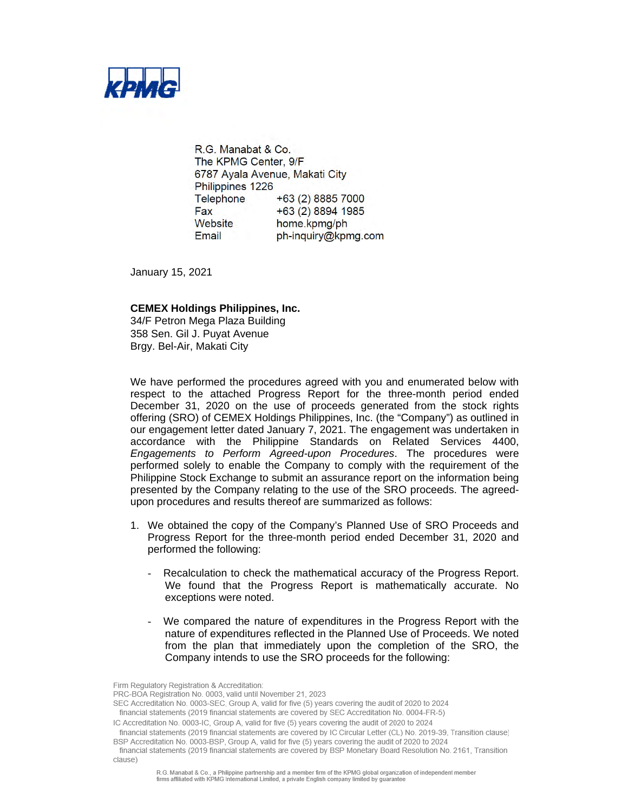

R.G. Manabat & Co. The KPMG Center, 9/F 6787 Ayala Avenue, Makati City Philippines 1226 Telephone +63 (2) 8885 7000 Fax +63 (2) 8894 1985 Website home.kpmg/ph Email ph-inquiry@kpmg.com

January 15, 2021

#### **CEMEX Holdings Philippines, Inc.**

34/F Petron Mega Plaza Building 358 Sen. Gil J. Puyat Avenue Brgy. Bel-Air, Makati City

We have performed the procedures agreed with you and enumerated below with respect to the attached Progress Report for the three-month period ended December 31, 2020 on the use of proceeds generated from the stock rights offering (SRO) of CEMEX Holdings Philippines, Inc. (the "Company") as outlined in our engagement letter dated January 7, 2021. The engagement was undertaken in accordance with the Philippine Standards on Related Services 4400, *Engagements to Perform Agreed-upon Procedures*. The procedures were performed solely to enable the Company to comply with the requirement of the Philippine Stock Exchange to submit an assurance report on the information being presented by the Company relating to the use of the SRO proceeds. The agreedupon procedures and results thereof are summarized as follows:

- 1. We obtained the copy of the Company's Planned Use of SRO Proceeds and Progress Report for the three-month period ended December 31, 2020 and performed the following:
	- Recalculation to check the mathematical accuracy of the Progress Report. We found that the Progress Report is mathematically accurate. No exceptions were noted.
	- We compared the nature of expenditures in the Progress Report with the nature of expenditures reflected in the Planned Use of Proceeds. We noted from the plan that immediately upon the completion of the SRO, the Company intends to use the SRO proceeds for the following:

Firm Regulatory Registration & Accreditation:

PRC-BOA Registration No. 0003, valid until November 21, 2023

SEC Accreditation No. 0003-SEC, Group A, valid for five (5) years covering the audit of 2020 to 2024 financial statements (2019 financial statements are covered by SEC Accreditation No. 0004-FR-5)

IC Accreditation No. 0003-IC, Group A, valid for five (5) years covering the audit of 2020 to 2024

financial statements (2019 financial statements are covered by IC Circular Letter (CL) No. 2019-39, Transition clause)

BSP Accreditation No. 0003-BSP, Group A, valid for five (5) years covering the audit of 2020 to 2024

financial statements (2019 financial statements are covered by BSP Monetary Board Resolution No. 2161, Transition clause)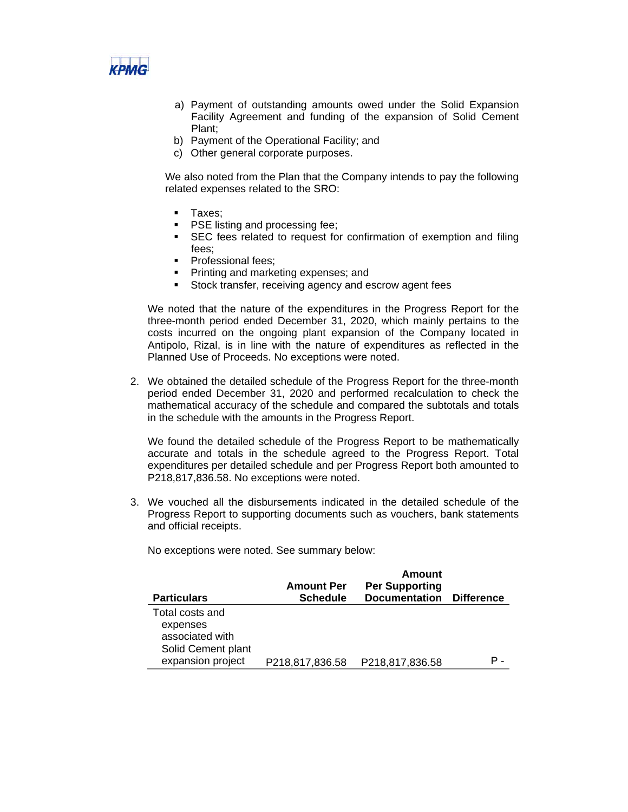

- a) Payment of outstanding amounts owed under the Solid Expansion Facility Agreement and funding of the expansion of Solid Cement Plant;
- b) Payment of the Operational Facility; and
- c) Other general corporate purposes.

We also noted from the Plan that the Company intends to pay the following related expenses related to the SRO:

- **Taxes**;
- **PSE listing and processing fee;**
- **SEC** fees related to request for confirmation of exemption and filing fees;
- **Professional fees:**
- **Printing and marketing expenses; and**
- Stock transfer, receiving agency and escrow agent fees

We noted that the nature of the expenditures in the Progress Report for the three-month period ended December 31, 2020, which mainly pertains to the costs incurred on the ongoing plant expansion of the Company located in Antipolo, Rizal, is in line with the nature of expenditures as reflected in the Planned Use of Proceeds. No exceptions were noted.

2. We obtained the detailed schedule of the Progress Report for the three-month period ended December 31, 2020 and performed recalculation to check the mathematical accuracy of the schedule and compared the subtotals and totals in the schedule with the amounts in the Progress Report.

We found the detailed schedule of the Progress Report to be mathematically accurate and totals in the schedule agreed to the Progress Report. Total expenditures per detailed schedule and per Progress Report both amounted to P218,817,836.58. No exceptions were noted.

3. We vouched all the disbursements indicated in the detailed schedule of the Progress Report to supporting documents such as vouchers, bank statements and official receipts.

No exceptions were noted. See summary below:

| <b>Particulars</b>                                                   | <b>Amount Per</b><br><b>Schedule</b> | Amount<br><b>Per Supporting</b><br><b>Documentation</b> | Difference |
|----------------------------------------------------------------------|--------------------------------------|---------------------------------------------------------|------------|
| Total costs and<br>expenses<br>associated with<br>Solid Cement plant |                                      |                                                         |            |
| expansion project                                                    | P218,817,836.58                      | P218,817,836.58                                         | Р.         |